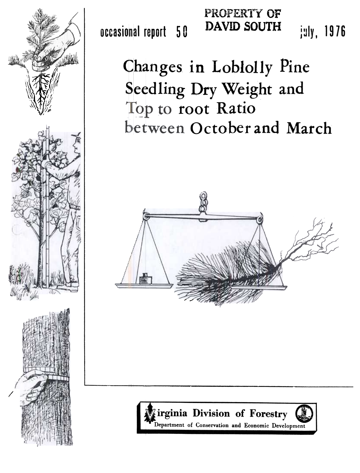

occasional report 5 **0** 

**PROPERTY OF DAVID SOUTH** 

july, 1976

Changes in Loblolly Pine **~~eed** ling Dry **Weight** and Top to root Ratio **between October and March** 



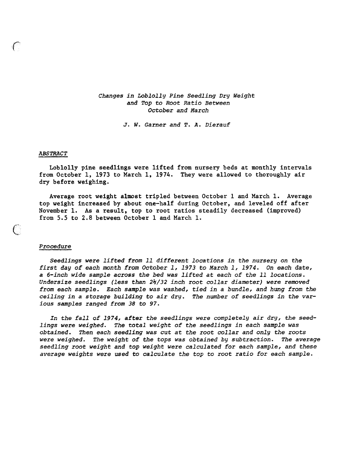# *Changes in Loblolly Pine Seedling Dry Weight and Top to Root Ratio Between October and March*

*J. W. Garner and T.* **A.** *Dierauf* 

#### *ABSTRACT*

Loblolly pine seedlings were lifted from nursery beds at monthly intervals from October 1, 1973 to March 1, 1974. They were allowed to thoroughly air dry before weighing.

Average root weight almost tripled between October 1 and March 1. Average top weight increased by about one-half during October, and leveled **off** after November 1, **As** a result, top to root ratios steadily decreased (improved) from 5.5 to 2.8 between October 1 and March 1.

## *Procedure*

 $\mathcal C$ 

*Seedlings were lifted from 11 different locations in the nursery on the first day of each month from October 1, 1973 to March I, 1974. On each date, a 6-inch wide sample across the bed was lifted at each of the 11 locations. Undersize seedlings (less than* **2\*/32** *inch root collar diameter) were removed from each sample. Each sample was washed, tied in a bundle, and hung from the ceiling in a storage building to air dry. The number of seedlings in the various samples ranged from* **38** *to 97.* 

*In the fall of 1974, after the seedlings were completely air dry, the seedlings were weighed. The total weight of the seedlings in each sample was obtained. Then each seedling was cut at the root collar and only the roots*  were weighed. The weight of the tops was obtained by subtraction. The average *seedling root weight and top weight were calculated for each sample, and these average weights were used to calculate the top to root ratio for each sample.*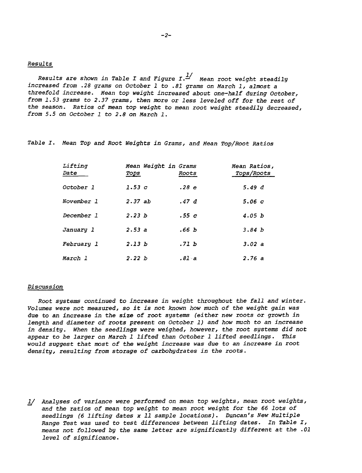### *Results*

*Results are shown in Table I and Figure I.*  $\frac{1}{2}$  Mean root weight steadily *increased from .28 grams on October 1 to .81 grams on March 1, almost a threefold increase. Mean top weight increased about one-half during October, from 1.53 grams to 2.37 grams, then more or less leveled off for the rest of the season. Ratios of mean top weight to mean root weight steadily decreased, from 5.5 on October 1 to 2.8 on March 1.* 

*Table I. Mean Top and Root Weights in Grams, and Mean Top/Root Ratios* 

| Lifting<br>Date | Mean Weight in Grams<br><b>TOPS</b> | Roots | Mean Ratios,<br><i>Tops/Roots</i> |
|-----------------|-------------------------------------|-------|-----------------------------------|
| October 1       | 1.53c                               | .28 e | 5.49 $d$                          |
| November 1      | 2.37ab                              | .47 d | 5.06c                             |
| December 1      | 2.23h                               | .55c  | 4.05 b                            |
| January l       | 2.53a                               | .66 b | 3.84 b                            |
| February 1      | 2.13h                               | .71 b | 3.02 a                            |
| March l         | 2.22 b                              | .81 a | 2.76a                             |

#### *Discussion*

*Root systems continued to increase in weight throughout the fall and winter. Volumes were not measured, so it is not known how much of the weight gain was due to an increase in the size of root systems (either new roots or growth in length and diameter of roots present on October 1) and how much to an increase in density. When the seedlings were weighed, however, the root systems did not appear to be larger on March* **1** *lifted than October 1 lifted seedlings. Xhis would suggest that most of the weight increase was due to an increase in root density, resulting from storage of carbohydrates in the roots.* 

*Analyses of variance were performed on mean top weights, mean root weights, and the ratios of mean top weight to mean root weight for the 66 lots of seedlings (6 lifting dates* **x** *11 sample locations). Duncan's New Multiple Range Test was used to test differences between lifting dates. In Table I, means not followed by the same letter are significantly different at the .O1 level of significance.*